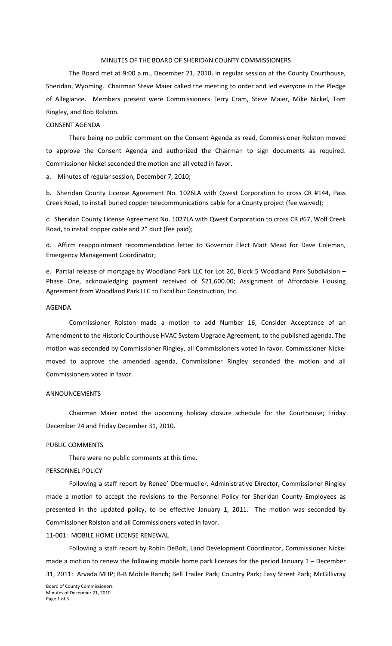### MINUTES OF THE BOARD OF SHERIDAN COUNTY COMMISSIONERS

The Board met at 9:00 a.m., December 21, 2010, in regular session at the County Courthouse, Sheridan, Wyoming. Chairman Steve Maier called the meeting to order and led everyone in the Pledge of Allegiance. Members present were Commissioners Terry Cram, Steve Maier, Mike Nickel, Tom Ringley, and Bob Rolston.

### CONSENT AGENDA

There being no public comment on the Consent Agenda as read, Commissioner Rolston moved to approve the Consent Agenda and authorized the Chairman to sign documents as required. Commissioner Nickel seconded the motion and all voted in favor.

a. Minutes of regular session, December 7, 2010;

b. Sheridan County License Agreement No. 1026LA with Qwest Corporation to cross CR #144, Pass Creek Road, to install buried copper telecommunications cable for a County project (fee waived);

c. Sheridan County License Agreement No. 1027LA with Qwest Corporation to cross CR #67, Wolf Creek Road, to install copper cable and 2" duct (fee paid);

d. Affirm reappointment recommendation letter to Governor Elect Matt Mead for Dave Coleman, Emergency Management Coordinator;

e. Partial release of mortgage by Woodland Park LLC for Lot 20, Block 5 Woodland Park Subdivision – Phase One, acknowledging payment received of \$21,600.00; Assignment of Affordable Housing Agreement from Woodland Park LLC to Excalibur Construction, Inc.

## AGENDA

Commissioner Rolston made a motion to add Number 16, Consider Acceptance of an Amendment to the Historic Courthouse HVAC System Upgrade Agreement, to the published agenda. The motion was seconded by Commissioner Ringley, all Commissioners voted in favor. Commissioner Nickel moved to approve the amended agenda, Commissioner Ringley seconded the motion and all Commissioners voted in favor.

#### ANNOUNCEMENTS

Chairman Maier noted the upcoming holiday closure schedule for the Courthouse; Friday December 24 and Friday December 31, 2010.

#### PUBLIC COMMENTS

There were no public comments at this time.

#### PERSONNEL POLICY

Following a staff report by Renee' Obermueller, Administrative Director, Commissioner Ringley made a motion to accept the revisions to the Personnel Policy for Sheridan County Employees as presented in the updated policy, to be effective January 1, 2011. The motion was seconded by Commissioner Rolston and all Commissioners voted in favor.

11‐001: MOBILE HOME LICENSE RENEWAL

Following a staff report by Robin DeBolt, Land Development Coordinator, Commissioner Nickel made a motion to renew the following mobile home park licenses for the period January 1 – December 31, 2011: Arvada MHP; B‐B Mobile Ranch; Bell Trailer Park; Country Park; Easy Street Park; McGillivray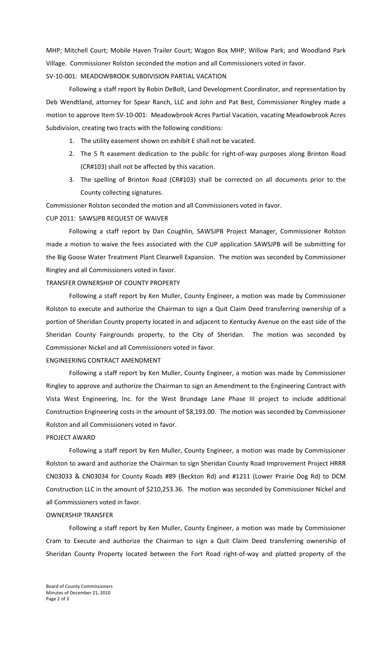MHP; Mitchell Court; Mobile Haven Trailer Court; Wagon Box MHP; Willow Park; and Woodland Park Village. Commissioner Rolston seconded the motion and all Commissioners voted in favor. SV‐10‐001: MEADOWBROOK SUBDIVISION PARTIAL VACATION

Following a staff report by Robin DeBolt, Land Development Coordinator, and representation by Deb Wendtland, attorney for Spear Ranch, LLC and John and Pat Best, Commissioner Ringley made a motion to approve Item SV‐10‐001: Meadowbrook Acres Partial Vacation, vacating Meadowbrook Acres Subdivision, creating two tracts with the following conditions:

- 1. The utility easement shown on exhibit E shall not be vacated.
- 2. The 5 ft easement dedication to the public for right-of-way purposes along Brinton Road (CR#103) shall not be affected by this vacation.
- 3. The spelling of Brinton Road (CR#103) shall be corrected on all documents prior to the County collecting signatures.

Commissioner Rolston seconded the motion and all Commissioners voted in favor.

## CUP 2011: SAWSJPB REQUEST OF WAIVER

Following a staff report by Dan Coughlin, SAWSJPB Project Manager, Commissioner Rolston made a motion to waive the fees associated with the CUP application SAWSJPB will be submitting for the Big Goose Water Treatment Plant Clearwell Expansion. The motion was seconded by Commissioner Ringley and all Commissioners voted in favor.

### TRANSFER OWNERSHIP OF COUNTY PROPERTY

Following a staff report by Ken Muller, County Engineer, a motion was made by Commissioner Rolston to execute and authorize the Chairman to sign a Quit Claim Deed transferring ownership of a portion of Sheridan County property located in and adjacent to Kentucky Avenue on the east side of the Sheridan County Fairgrounds property, to the City of Sheridan. The motion was seconded by Commissioner Nickel and all Commissioners voted in favor.

# ENGINEERING CONTRACT AMENDMENT

Following a staff report by Ken Muller, County Engineer, a motion was made by Commissioner Ringley to approve and authorize the Chairman to sign an Amendment to the Engineering Contract with Vista West Engineering, Inc. for the West Brundage Lane Phase III project to include additional Construction Engineering costs in the amount of \$8,193.00. The motion was seconded by Commissioner Rolston and all Commissioners voted in favor.

## PROJECT AWARD

Following a staff report by Ken Muller, County Engineer, a motion was made by Commissioner Rolston to award and authorize the Chairman to sign Sheridan County Road Improvement Project HRRR CN03033 & CN03034 for County Roads #89 (Beckton Rd) and #1211 (Lower Prairie Dog Rd) to DCM Construction LLC in the amount of \$210,253.36. The motion was seconded by Commissioner Nickel and all Commissioners voted in favor.

### OWNERSHIP TRANSFER

Following a staff report by Ken Muller, County Engineer, a motion was made by Commissioner Cram to Execute and authorize the Chairman to sign a Quit Claim Deed transferring ownership of Sheridan County Property located between the Fort Road right‐of‐way and platted property of the